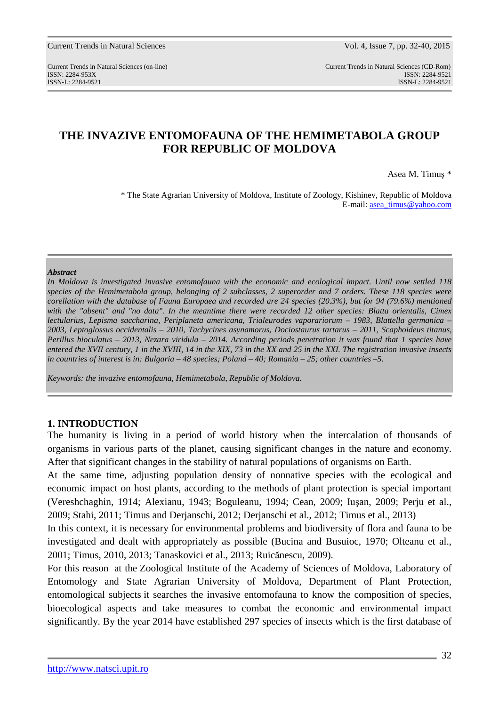Current Trends in Natural Sciences (on-line) Current Trends in Natural Sciences (CD-Rom) ISSN: 2284-953XISSN: 2284-9521 ISSN-L: 2284-9521 ISSN-L: 2284-9521

## **THE INVAZIVE ENTOMOFAUNA OF THE HEMIMETABOLA GROUP FOR REPUBLIC OF MOLDOVA**

Asea M. Timuş \*

\* The State Agrarian University of Moldova, Institute of Zoology, Kishinev, Republic of Moldova E-mail: asea\_timus@yahoo.com

#### *Abstract*

*In Moldova is investigated invasive entomofauna with the economic and ecological impact. Until now settled 118 species of the Hemimetabola group, belonging of 2 subclasses, 2 superorder and 7 orders. These 118 species were corellation with the database of Fauna Europaea and recorded are 24 species (20.3%), but for 94 (79.6%) mentioned with the "absent" and "no data". In the meantime there were recorded 12 other species: Blatta orientalis, Cimex lectularius, Lepisma saccharina, Periplaneta americana, Trialeurodes vaporariorum – 1983, Blattella germanica – 2003, Leptoglossus occidentalis – 2010, Tachycines asynamorus, Dociostaurus tartarus – 2011, Scaphoideus titanus, Perillus bioculatus – 2013, Nezara viridula – 2014. According periods penetration it was found that 1 species have entered the XVII century, 1 in the XVIII, 14 in the XIX, 73 in the XX and 25 in the XXI. The registration invasive insects in countries of interest is in: Bulgaria – 48 species; Poland – 40; Romania – 25; other countries –5.* 

*Keywords: the invazive entomofauna, Hemimetabola, Republic of Moldova.* 

#### **1. INTRODUCTION**

The humanity is living in a period of world history when the intercalation of thousands of organisms in various parts of the planet, causing significant changes in the nature and economy. After that significant changes in the stability of natural populations of organisms on Earth.

At the same time, adjusting population density of nonnative species with the ecological and economic impact on host plants, according to the methods of plant protection is special important (Vereshchaghin, 1914; Alexianu, 1943; Boguleanu, 1994; Cean, 2009; Iuşan, 2009; Perju et al., 2009; Stahi, 2011; Timus and Derjanschi, 2012; Derjanschi et al., 2012; Timus et al., 2013)

In this context, it is necessary for environmental problems and biodiversity of flora and fauna to be investigated and dealt with appropriately as possible (Bucina and Busuioc, 1970; Olteanu et al., 2001; Timus, 2010, 2013; Tanaskovici et al., 2013; Ruicănescu, 2009).

For this reason at the Zoological Institute of the Academy of Sciences of Moldova, Laboratory of Entomology and State Agrarian University of Moldova, Department of Plant Protection, entomological subjects it searches the invasive entomofauna to know the composition of species, bioecological aspects and take measures to combat the economic and environmental impact significantly. By the year 2014 have established 297 species of insects which is the first database of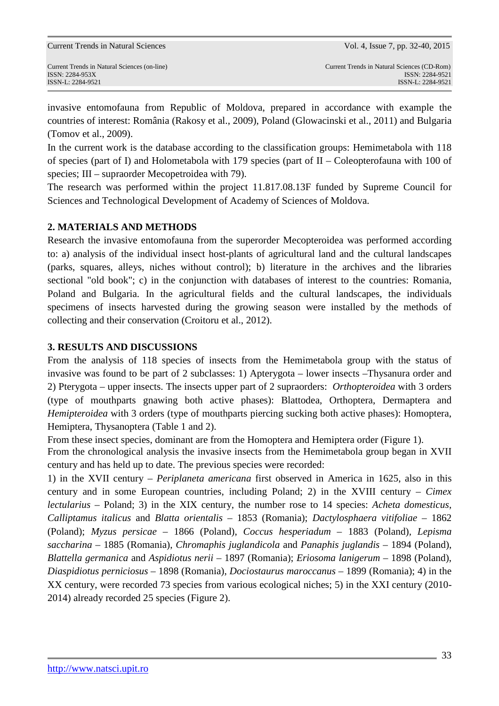invasive entomofauna from Republic of Moldova, prepared in accordance with example the countries of interest: România (Rakosy et al., 2009), Poland (Glowacinski et al., 2011) and Bulgaria (Tomov et al., 2009).

In the current work is the database according to the classification groups: Hemimetabola with 118 of species (part of I) and Holometabola with 179 species (part of II – Coleopterofauna with 100 of species; III – supraorder Mecopetroidea with 79).

The research was performed within the project 11.817.08.13F funded by Supreme Council for Sciences and Technological Development of Academy of Sciences of Moldova.

### **2. MATERIALS AND METHODS**

Research the invasive entomofauna from the superorder Mecopteroidea was performed according to: a) analysis of the individual insect host-plants of agricultural land and the cultural landscapes (parks, squares, alleys, niches without control); b) literature in the archives and the libraries sectional "old book"; c) in the conjunction with databases of interest to the countries: Romania, Poland and Bulgaria. In the agricultural fields and the cultural landscapes, the individuals specimens of insects harvested during the growing season were installed by the methods of collecting and their conservation (Croitoru et al., 2012).

### **3. RESULTS AND DISCUSSIONS**

From the analysis of 118 species of insects from the Hemimetabola group with the status of invasive was found to be part of 2 subclasses: 1) Apterygota – lower insects –Thysanura order and 2) Pterygota – upper insects. The insects upper part of 2 supraorders: *Orthopteroidea* with 3 orders (type of mouthparts gnawing both active phases): Blattodea, Orthoptera, Dermaptera and *Hemipteroidea* with 3 orders (type of mouthparts piercing sucking both active phases): Homoptera, Hemiptera, Thysanoptera (Table 1 and 2).

From these insect species, dominant are from the Homoptera and Hemiptera order (Figure 1).

From the chronological analysis the invasive insects from the Hemimetabola group began in XVII century and has held up to date. The previous species were recorded:

1) in the XVII century – *Periplaneta americana* first observed in America in 1625, also in this century and in some European countries, including Poland; 2) in the XVIII century – *Cimex lectularius* – Poland; 3) in the XIX century, the number rose to 14 species: *Acheta domesticus*, *Calliptamus italicus* and *Blatta orientalis* – 1853 (Romania); *Dactylosphaera vitifoliae –* 1862 (Poland); *Myzus persicae –* 1866 (Poland), *Coccus hesperiadum –* 1883 (Poland)*, Lepisma saccharina* – 1885 (Romania), *Chromaphis juglandicola* and *Panaphis juglandis –* 1894 (Poland), *Blattella germanica* and *Aspidiotus nerii* – 1897 (Romania); *Eriosoma lanigerum –* 1898 (Poland), *Diaspidiotus perniciosus* – 1898 (Romania), *Dociostaurus maroccanus –* 1899 (Romania); 4) in the XX century, were recorded 73 species from various ecological niches; 5) in the XXI century (2010-2014) already recorded 25 species (Figure 2).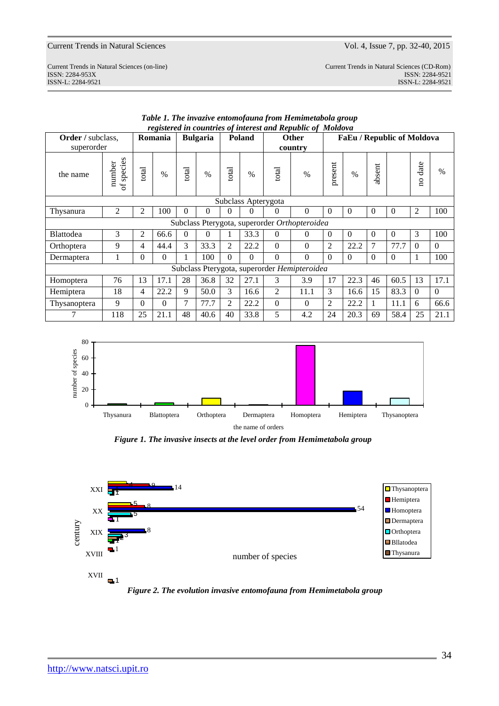ISSN-L: 2284-9521 ISSN-L: 2284-9521

| Current Trends in Natural Sciences (on-line) | Current Trends in Natural Sciences (CD-Rom) |
|----------------------------------------------|---------------------------------------------|
| ISSN: 2284-953X                              | ISSN: 2284-9521                             |
| ISSN-L 2284-9521                             | $ISSN-I \cdot 2284-9521$                    |

| техметей теойнитез ортастези ини керионе ор топиоти<br>Romania<br><b>Poland</b> |                               |          |          |          |                 |          |                     |                |                                              |                                   |          |              |              |                                 |          |  |  |  |  |  |  |  |
|---------------------------------------------------------------------------------|-------------------------------|----------|----------|----------|-----------------|----------|---------------------|----------------|----------------------------------------------|-----------------------------------|----------|--------------|--------------|---------------------------------|----------|--|--|--|--|--|--|--|
| Order / subclass,                                                               |                               |          |          |          | <b>Bulgaria</b> |          |                     |                | <b>Other</b>                                 | <b>FaEu / Republic of Moldova</b> |          |              |              |                                 |          |  |  |  |  |  |  |  |
| superorder                                                                      |                               |          |          |          |                 |          |                     |                | country                                      |                                   |          |              |              |                                 |          |  |  |  |  |  |  |  |
| the name                                                                        | species<br>number<br>$\sigma$ | total    | $\%$     | total    | $\%$            | total    | $\%$                | total          | $\frac{0}{0}$                                | present                           | $\%$     | absent       |              | date<br>$\overline{\mathbf{a}}$ | $\%$     |  |  |  |  |  |  |  |
|                                                                                 |                               |          |          |          |                 |          | Subclass Apterygota |                |                                              |                                   |          |              |              |                                 |          |  |  |  |  |  |  |  |
| Thysanura                                                                       | 2                             | 2        | 100      | $\theta$ | 0               | 0        | 0                   | $\Omega$       | $\theta$                                     | $\Omega$                          | $\Omega$ | $\mathbf{0}$ | $\mathbf{0}$ | $\overline{2}$                  | 100      |  |  |  |  |  |  |  |
| Subclass Pterygota, superorder Orthopteroidea                                   |                               |          |          |          |                 |          |                     |                |                                              |                                   |          |              |              |                                 |          |  |  |  |  |  |  |  |
| <b>Blattodea</b>                                                                | 3                             | 2        | 66.6     | $\Omega$ | $\Omega$        |          | 33.3                | $\Omega$       | 0                                            | $\theta$                          | $\Omega$ | $\Omega$     | $\Omega$     | 3                               | 100      |  |  |  |  |  |  |  |
| Orthoptera                                                                      | 9                             | 4        | 44.4     | 3        | 33.3            | 2        | 22.2                | $\theta$       | $\theta$                                     | $\overline{2}$                    | 22.2     | 7            | 77.7         | $\Omega$                        | $\theta$ |  |  |  |  |  |  |  |
| Dermaptera                                                                      | 1                             | $\theta$ | $\Omega$ |          | 100             | $\Omega$ | $\Omega$            | $\Omega$       | $\theta$                                     | $\Omega$                          | $\Omega$ | $\theta$     | $\Omega$     | 1                               | 100      |  |  |  |  |  |  |  |
|                                                                                 |                               |          |          |          |                 |          |                     |                | Subclass Pterygota, superorder Hemipteroidea |                                   |          |              |              |                                 |          |  |  |  |  |  |  |  |
| Homoptera                                                                       | 76                            | 13       | 17.1     | 28       | 36.8            | 32       | 27.1                | 3              | 3.9                                          | 17                                | 22.3     | 46           | 60.5         | 13                              | 17.1     |  |  |  |  |  |  |  |
| Hemiptera                                                                       | 18                            | 4        | 22.2     | 9        | 50.0            | 3        | 16.6                | $\overline{2}$ | 11.1                                         | 3                                 | 16.6     | 15           | 83.3         | $\Omega$                        | $\theta$ |  |  |  |  |  |  |  |
| Thysanoptera                                                                    | 9                             | $\theta$ | $\Omega$ | 7        | 77.7            | 2        | 22.2                | $\Omega$       | $\theta$                                     | 2                                 | 22.2     | 1            | 11.1         | 6                               | 66.6     |  |  |  |  |  |  |  |
| 7                                                                               | 118                           | 25       | 21.1     | 48       | 40.6            | 40       | 33.8                | 5              | 4.2                                          | 24                                | 20.3     | 69           | 58.4         | 25                              | 21.1     |  |  |  |  |  |  |  |





*Figure 1. The invasive insects at the level order from Hemimetabola group*



*Figure 2. The evolution invasive entomofauna from Hemimetabola group*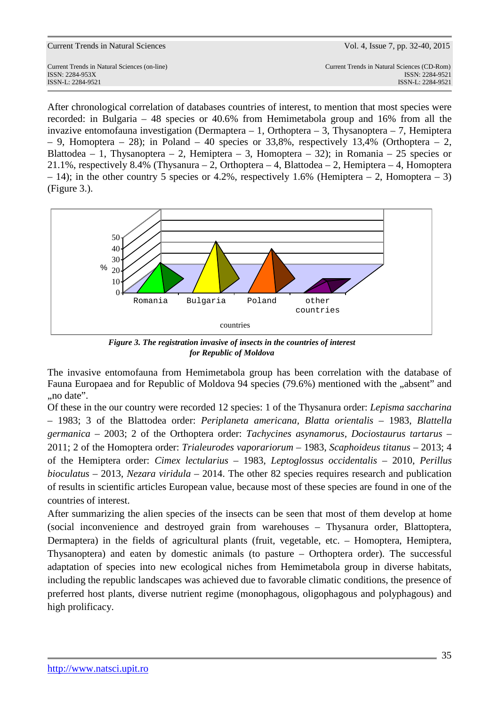| Current Trends in Natural Sciences                                                   | Vol. 4, Issue 7, pp. 32-40, 2015                                                    |
|--------------------------------------------------------------------------------------|-------------------------------------------------------------------------------------|
| Current Trends in Natural Sciences (on-line)<br>ISSN: 2284-953X<br>ISSN-L: 2284-9521 | Current Trends in Natural Sciences (CD-Rom)<br>ISSN: 2284-9521<br>ISSN-L: 2284-9521 |
|                                                                                      |                                                                                     |

After chronological correlation of databases countries of interest, to mention that most species were recorded: in Bulgaria – 48 species or 40.6% from Hemimetabola group and 16% from all the invazive entomofauna investigation (Dermaptera – 1, Orthoptera – 3, Thysanoptera – 7, Hemiptera – 9, Homoptera – 28); in Poland – 40 species or 33,8%, respectively 13,4% (Orthoptera – 2, Blattodea – 1, Thysanoptera – 2, Hemiptera – 3, Homoptera – 32); in Romania – 25 species or 21.1%, respectively 8.4% (Thysanura – 2, Orthoptera – 4, Blattodea – 2, Hemiptera – 4, Homoptera – 14); in the other country 5 species or 4.2%, respectively 1.6% (Hemiptera – 2, Homoptera – 3) (Figure 3.).



*Figure 3. The registration invasive of insects in the countries of interest for Republic of Moldova*

The invasive entomofauna from Hemimetabola group has been correlation with the database of Fauna Europaea and for Republic of Moldova 94 species (79.6%) mentioned with the "absent" and ..no date".

Of these in the our country were recorded 12 species: 1 of the Thysanura order: *Lepisma saccharina* – 1983; 3 of the Blattodea order: *Periplaneta americana, Blatta orientalis* – 1983, *Blattella germanica* – 2003; 2 of the Orthoptera order: *Tachycines asynamorus, Dociostaurus tartarus* – 2011; 2 of the Homoptera order: *Trialeurodes vaporariorum* – 1983, *Scaphoideus titanus* – 2013; 4 of the Hemiptera order: *Cimex lectularius* – 1983, *Leptoglossus occidentalis* – 2010, *Perillus bioculatus* – 2013, *Nezara viridula* – 2014. The other 82 species requires research and publication of results in scientific articles European value, because most of these species are found in one of the countries of interest.

After summarizing the alien species of the insects can be seen that most of them develop at home (social inconvenience and destroyed grain from warehouses – Thysanura order, Blattoptera, Dermaptera) in the fields of agricultural plants (fruit, vegetable, etc. – Homoptera, Hemiptera, Thysanoptera) and eaten by domestic animals (to pasture – Orthoptera order). The successful adaptation of species into new ecological niches from Hemimetabola group in diverse habitats, including the republic landscapes was achieved due to favorable climatic conditions, the presence of preferred host plants, diverse nutrient regime (monophagous, oligophagous and polyphagous) and high prolificacy.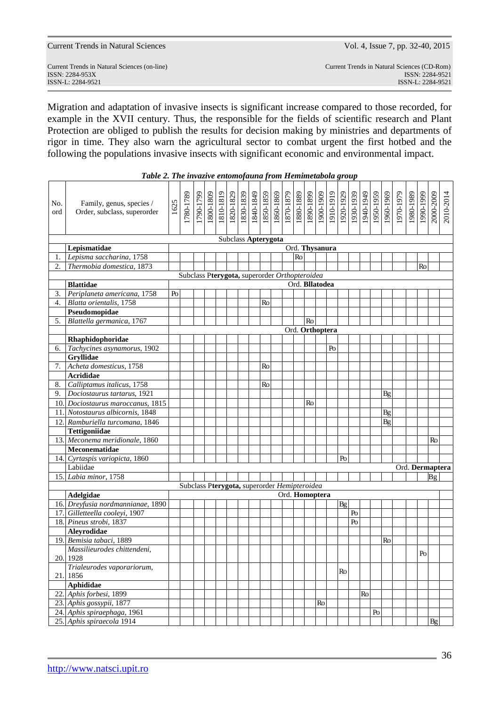| <b>Current Trends in Natural Sciences</b> |  |  |  |
|-------------------------------------------|--|--|--|
|-------------------------------------------|--|--|--|

 $\overline{\phantom{0}}$ 

ISSN: 2284-953XISSN: 2284-9521

 $\mathbf{r}$ 

Migration and adaptation of invasive insects is significant increase compared to those recorded, for example in the XVII century. Thus, the responsible for the fields of scientific research and Plant Protection are obliged to publish the results for decision making by ministries and departments of rigor in time. They also warn the agricultural sector to combat urgent the first hotbed and the following the populations invasive insects with significant economic and environmental impact.

| No.<br>ord | Family, genus, species /<br>Order, subclass, superorder | 1625 | 1780-1789                                     | 1790-1799 | 1800-1809 | 1810-1819 |                     |    |  |    | $\begin{array}{r l} \hline 1820 \, 1829 \\ \hline 1830 \, 1839 \\ \hline 1840 \, 1849 \\ \hline 1850 \, 1859 \\ \hline 1860 \, 1869 \\ \hline 1860 \, 1879 \\ \hline 1870 \, 1879 \\ \hline 1880 \, 1889 \\ \hline 1880 \, 1899 \\ \hline \end{array}$ | 1900-1909 | 1910-1919 | 1920-1929      | 1930-1939 | 1940-1949 | 1950-1959 | 1960-1969 | 1970-1979 | 1980-1989 | 6661-0661 | 2000-2009 | 2010-2014       |
|------------|---------------------------------------------------------|------|-----------------------------------------------|-----------|-----------|-----------|---------------------|----|--|----|--------------------------------------------------------------------------------------------------------------------------------------------------------------------------------------------------------------------------------------------------------|-----------|-----------|----------------|-----------|-----------|-----------|-----------|-----------|-----------|-----------|-----------|-----------------|
|            |                                                         |      |                                               |           |           |           | Subclass Apterygota |    |  |    |                                                                                                                                                                                                                                                        |           |           |                |           |           |           |           |           |           |           |           |                 |
|            | Lepismatidae                                            |      |                                               |           |           |           |                     |    |  |    | Ord. Thysanura                                                                                                                                                                                                                                         |           |           |                |           |           |           |           |           |           |           |           |                 |
| 1.         | Lepisma saccharina, 1758                                |      |                                               |           |           |           |                     |    |  | Ro |                                                                                                                                                                                                                                                        |           |           |                |           |           |           |           |           |           |           |           |                 |
| 2.         | Thermobia domestica, 1873                               |      |                                               |           |           |           |                     |    |  |    |                                                                                                                                                                                                                                                        |           |           |                |           |           |           |           |           |           | Ro        |           |                 |
|            |                                                         |      | Subclass Pterygota, superorder Orthopteroidea |           |           |           |                     |    |  |    |                                                                                                                                                                                                                                                        |           |           |                |           |           |           |           |           |           |           |           |                 |
|            | <b>Blattidae</b>                                        |      |                                               |           |           |           |                     |    |  |    | Ord. Bllatodea                                                                                                                                                                                                                                         |           |           |                |           |           |           |           |           |           |           |           |                 |
| 3.         | Periplaneta americana, 1758                             | Po   |                                               |           |           |           |                     |    |  |    |                                                                                                                                                                                                                                                        |           |           |                |           |           |           |           |           |           |           |           |                 |
| 4.         | Blatta orientalis, 1758                                 |      |                                               |           |           |           |                     | Ro |  |    |                                                                                                                                                                                                                                                        |           |           |                |           |           |           |           |           |           |           |           |                 |
|            | Pseudomopidae                                           |      |                                               |           |           |           |                     |    |  |    |                                                                                                                                                                                                                                                        |           |           |                |           |           |           |           |           |           |           |           |                 |
| 5.         | Blattella germanica, 1767                               |      |                                               |           |           |           |                     |    |  |    | Ro                                                                                                                                                                                                                                                     |           |           |                |           |           |           |           |           |           |           |           |                 |
|            |                                                         |      |                                               |           |           |           |                     |    |  |    | Ord. Orthoptera                                                                                                                                                                                                                                        |           |           |                |           |           |           |           |           |           |           |           |                 |
|            | Rhaphidophoridae                                        |      |                                               |           |           |           |                     |    |  |    |                                                                                                                                                                                                                                                        |           |           |                |           |           |           |           |           |           |           |           |                 |
| 6.         | Tachycines asynamorus, 1902                             |      |                                               |           |           |           |                     |    |  |    |                                                                                                                                                                                                                                                        |           | Po        |                |           |           |           |           |           |           |           |           |                 |
|            | Gryllidae                                               |      |                                               |           |           |           |                     |    |  |    |                                                                                                                                                                                                                                                        |           |           |                |           |           |           |           |           |           |           |           |                 |
| 7.         | Acheta domesticus, 1758                                 |      |                                               |           |           |           |                     | Ro |  |    |                                                                                                                                                                                                                                                        |           |           |                |           |           |           |           |           |           |           |           |                 |
|            | Acrididae                                               |      |                                               |           |           |           |                     |    |  |    |                                                                                                                                                                                                                                                        |           |           |                |           |           |           |           |           |           |           |           |                 |
| 8.         | Calliptamus italicus, 1758                              |      |                                               |           |           |           |                     | Ro |  |    |                                                                                                                                                                                                                                                        |           |           |                |           |           |           |           |           |           |           |           |                 |
| 9.         | Dociostaurus tartarus, 1921                             |      |                                               |           |           |           |                     |    |  |    |                                                                                                                                                                                                                                                        |           |           |                |           |           |           | Bg        |           |           |           |           |                 |
|            | 10. Dociostaurus maroccanus, 1815                       |      |                                               |           |           |           |                     |    |  |    | Ro                                                                                                                                                                                                                                                     |           |           |                |           |           |           |           |           |           |           |           |                 |
|            | 11. Notostaurus albicornis, 1848                        |      |                                               |           |           |           |                     |    |  |    |                                                                                                                                                                                                                                                        |           |           |                |           |           |           | Bg        |           |           |           |           |                 |
|            | 12. Ramburiella turcomana, 1846                         |      |                                               |           |           |           |                     |    |  |    |                                                                                                                                                                                                                                                        |           |           |                |           |           |           | Bg        |           |           |           |           |                 |
|            | Tettigoniidae                                           |      |                                               |           |           |           |                     |    |  |    |                                                                                                                                                                                                                                                        |           |           |                |           |           |           |           |           |           |           |           |                 |
|            | 13. Meconema meridionale, 1860                          |      |                                               |           |           |           |                     |    |  |    |                                                                                                                                                                                                                                                        |           |           |                |           |           |           |           |           |           |           | Ro        |                 |
|            | Meconematidae                                           |      |                                               |           |           |           |                     |    |  |    |                                                                                                                                                                                                                                                        |           |           |                |           |           |           |           |           |           |           |           |                 |
|            | 14. Cyrtaspis variopicta, 1860                          |      |                                               |           |           |           |                     |    |  |    |                                                                                                                                                                                                                                                        |           |           | P <sub>0</sub> |           |           |           |           |           |           |           |           |                 |
|            | Labiidae                                                |      |                                               |           |           |           |                     |    |  |    |                                                                                                                                                                                                                                                        |           |           |                |           |           |           |           |           |           |           |           | Ord. Dermaptera |
|            | 15. Labia minor, 1758                                   |      |                                               |           |           |           |                     |    |  |    |                                                                                                                                                                                                                                                        |           |           |                |           |           |           |           |           |           |           | <b>Bg</b> |                 |
|            |                                                         |      | Subclass Pterygota, superorder Hemipteroidea  |           |           |           |                     |    |  |    |                                                                                                                                                                                                                                                        |           |           |                |           |           |           |           |           |           |           |           |                 |
|            | Adelgidae                                               |      |                                               |           |           |           |                     |    |  |    | Ord. Homoptera                                                                                                                                                                                                                                         |           |           |                |           |           |           |           |           |           |           |           |                 |
|            | 16. Dreyfusia nordmannianae, 1890                       |      |                                               |           |           |           |                     |    |  |    |                                                                                                                                                                                                                                                        |           |           | <b>Bg</b>      |           |           |           |           |           |           |           |           |                 |
|            | 17. Gilletteella cooleyi, 1907                          |      |                                               |           |           |           |                     |    |  |    |                                                                                                                                                                                                                                                        |           |           |                | Po        |           |           |           |           |           |           |           |                 |
|            | 18. Pineus strobi, 1837                                 |      |                                               |           |           |           |                     |    |  |    |                                                                                                                                                                                                                                                        |           |           |                | Po        |           |           |           |           |           |           |           |                 |
|            | Aleyrodidae                                             |      |                                               |           |           |           |                     |    |  |    |                                                                                                                                                                                                                                                        |           |           |                |           |           |           |           |           |           |           |           |                 |
|            | 19. Bemisia tabaci, 1889                                |      |                                               |           |           |           |                     |    |  |    |                                                                                                                                                                                                                                                        |           |           |                |           |           |           | Ro        |           |           |           |           |                 |
|            | Massilieurodes chittendeni,                             |      |                                               |           |           |           |                     |    |  |    |                                                                                                                                                                                                                                                        |           |           |                |           |           |           |           |           |           | Po        |           |                 |
|            | 20. 1928                                                |      |                                               |           |           |           |                     |    |  |    |                                                                                                                                                                                                                                                        |           |           |                |           |           |           |           |           |           |           |           |                 |
|            | Trialeurodes vaporariorum,                              |      |                                               |           |           |           |                     |    |  |    |                                                                                                                                                                                                                                                        |           |           | Ro             |           |           |           |           |           |           |           |           |                 |
| 21.        | 1856                                                    |      |                                               |           |           |           |                     |    |  |    |                                                                                                                                                                                                                                                        |           |           |                |           |           |           |           |           |           |           |           |                 |
|            | Aphididae                                               |      |                                               |           |           |           |                     |    |  |    |                                                                                                                                                                                                                                                        |           |           |                |           |           |           |           |           |           |           |           |                 |
|            | 22. Aphis forbesi, 1899                                 |      |                                               |           |           |           |                     |    |  |    |                                                                                                                                                                                                                                                        |           |           |                |           | Ro        |           |           |           |           |           |           |                 |
|            | 23. Aphis gossypii, 1877                                |      |                                               |           |           |           |                     |    |  |    |                                                                                                                                                                                                                                                        | Ro        |           |                |           |           |           |           |           |           |           |           |                 |
|            | 24. Aphis spiraephaga, 1961                             |      |                                               |           |           |           |                     |    |  |    |                                                                                                                                                                                                                                                        |           |           |                |           |           | Po        |           |           |           |           |           |                 |
|            | 25. Aphis spiraecola 1914                               |      |                                               |           |           |           |                     |    |  |    |                                                                                                                                                                                                                                                        |           |           |                |           |           |           |           |           |           |           | <b>Bg</b> |                 |

*Table 2. The invazive entomofauna from Hemimetabola group*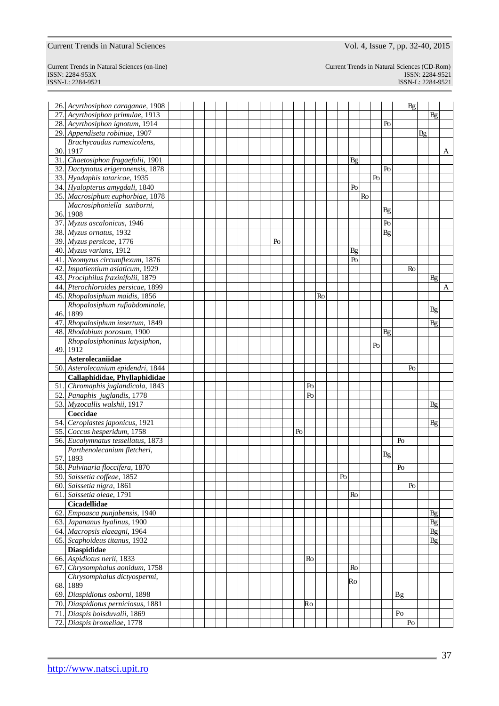ISSN-L: 2284-9521 ISSN-L: 2284-9521

Current Trends in Natural Sciences (on-line) Current Trends in Natural Sciences (CD-Rom) ISSN: 2284-953XISSN: 2284-9521

|     | 26. Acyrthosiphon caraganae, 1908                             |  |  |  |  |    |    |    |    |          |                |    |    |           |                | Bg |           |          |   |
|-----|---------------------------------------------------------------|--|--|--|--|----|----|----|----|----------|----------------|----|----|-----------|----------------|----|-----------|----------|---|
|     | 27. Acyrthosiphon primulae, 1913                              |  |  |  |  |    |    |    |    |          |                |    |    |           |                |    |           | Bg       |   |
|     | 28. Acyrthosiphon ignotum, 1914                               |  |  |  |  |    |    |    |    |          |                |    |    | Po        |                |    |           |          |   |
|     | 29. Appendiseta robiniae, 1907                                |  |  |  |  |    |    |    |    |          |                |    |    |           |                |    | <b>Bg</b> |          |   |
|     | Brachycaudus rumexicolens,                                    |  |  |  |  |    |    |    |    |          |                |    |    |           |                |    |           |          |   |
|     | 30. 1917                                                      |  |  |  |  |    |    |    |    |          |                |    |    |           |                |    |           |          | A |
|     | 31. Chaetosiphon fragaefolii, 1901                            |  |  |  |  |    |    |    |    |          | $\mathbf{B}$ g |    |    |           |                |    |           |          |   |
|     | 32. Dactynotus erigeronensis, 1878                            |  |  |  |  |    |    |    |    |          |                |    |    | Po        |                |    |           |          |   |
|     | 33. Hyadaphis tataricae, 1935                                 |  |  |  |  |    |    |    |    |          |                |    | Po |           |                |    |           |          |   |
|     | 34. Hyalopterus amygdali, 1840                                |  |  |  |  |    |    |    |    |          | Po             |    |    |           |                |    |           |          |   |
|     | 35. Macrosiphum euphorbiae, 1878                              |  |  |  |  |    |    |    |    |          |                | Ro |    |           |                |    |           |          |   |
|     | Macrosiphoniella sanborni,                                    |  |  |  |  |    |    |    |    |          |                |    |    |           |                |    |           |          |   |
|     | 36. 1908                                                      |  |  |  |  |    |    |    |    |          |                |    |    | <b>Bg</b> |                |    |           |          |   |
|     | 37. Myzus ascalonicus, 1946                                   |  |  |  |  |    |    |    |    |          |                |    |    | Po        |                |    |           |          |   |
|     | 38. Myzus ornatus, 1932                                       |  |  |  |  |    |    |    |    |          |                |    |    | Bg        |                |    |           |          |   |
|     | 39. Myzus persicae, 1776                                      |  |  |  |  | Po |    |    |    |          |                |    |    |           |                |    |           |          |   |
|     | 40. Myzus varians, 1912                                       |  |  |  |  |    |    |    |    |          | Bg             |    |    |           |                |    |           |          |   |
|     | 41. Neomyzus circumflexum, 1876                               |  |  |  |  |    |    |    |    |          | Po             |    |    |           |                |    |           |          |   |
|     | 42. Impatientium asiaticum, 1929                              |  |  |  |  |    |    |    |    |          |                |    |    |           |                | Ro |           |          |   |
|     | 43. Prociphilus fraxinifolii, 1879                            |  |  |  |  |    |    |    |    |          |                |    |    |           |                |    |           | Bg       |   |
|     | 44. Pterochloroides persicae, 1899                            |  |  |  |  |    |    |    |    |          |                |    |    |           |                |    |           |          | A |
|     | 45. Rhopalosiphum maidis, 1856                                |  |  |  |  |    |    |    | Ro |          |                |    |    |           |                |    |           |          |   |
|     | Rhopalosiphum rufiabdominale,                                 |  |  |  |  |    |    |    |    |          |                |    |    |           |                |    |           |          |   |
|     | 46.1899                                                       |  |  |  |  |    |    |    |    |          |                |    |    |           |                |    |           | Bg       |   |
|     | 47. Rhopalosiphum insertum, 1849                              |  |  |  |  |    |    |    |    |          |                |    |    |           |                |    |           | Bg       |   |
|     | 48. Rhodobium porosum, 1900                                   |  |  |  |  |    |    |    |    |          |                |    |    | Bg        |                |    |           |          |   |
|     | Rhopalosiphoninus latysiphon,                                 |  |  |  |  |    |    |    |    |          |                |    |    |           |                |    |           |          |   |
|     | 49. 1912                                                      |  |  |  |  |    |    |    |    |          |                |    | Po |           |                |    |           |          |   |
|     | Asterolecaniidae                                              |  |  |  |  |    |    |    |    |          |                |    |    |           |                |    |           |          |   |
|     | 50. Asterolecanium epidendri, 1844                            |  |  |  |  |    |    |    |    |          |                |    |    |           |                | Po |           |          |   |
|     | Callaphididae, Phyllaphididae                                 |  |  |  |  |    |    |    |    |          |                |    |    |           |                |    |           |          |   |
|     | 51. Chromaphis juglandicola, 1843                             |  |  |  |  |    |    | Po |    |          |                |    |    |           |                |    |           |          |   |
|     | 52. Panaphis juglandis, 1778                                  |  |  |  |  |    |    | Po |    |          |                |    |    |           |                |    |           |          |   |
|     | 53. Myzocallis walshii, 1917                                  |  |  |  |  |    |    |    |    |          |                |    |    |           |                |    |           | Bg       |   |
|     | Coccidae                                                      |  |  |  |  |    |    |    |    |          |                |    |    |           |                |    |           |          |   |
|     | 54. Ceroplastes japonicus, 1921                               |  |  |  |  |    |    |    |    |          |                |    |    |           |                |    |           | Bg       |   |
|     | 55. Coccus hesperidum, 1758                                   |  |  |  |  |    | Po |    |    |          |                |    |    |           |                |    |           |          |   |
|     | 56. Eucalymnatus tessellatus, 1873                            |  |  |  |  |    |    |    |    |          |                |    |    |           | Po             |    |           |          |   |
|     | Parthenolecanium fletcheri,                                   |  |  |  |  |    |    |    |    |          |                |    |    |           |                |    |           |          |   |
| 57. | 1893                                                          |  |  |  |  |    |    |    |    |          |                |    |    | Bg        |                |    |           |          |   |
|     | 58. Pulvinaria floccifera, 1870                               |  |  |  |  |    |    |    |    |          |                |    |    |           | Po             |    |           |          |   |
|     | 59. Saissetia coffeae, 1852                                   |  |  |  |  |    |    |    |    | $\rm Po$ |                |    |    |           |                |    |           |          |   |
|     | 60. Saissetia nigra, 1861                                     |  |  |  |  |    |    |    |    |          |                |    |    |           |                | Po |           |          |   |
|     | 61. Saissetia oleae, 1791                                     |  |  |  |  |    |    |    |    |          | Ro             |    |    |           |                |    |           |          |   |
|     | <b>Cicadellidae</b>                                           |  |  |  |  |    |    |    |    |          |                |    |    |           |                |    |           |          |   |
|     | 62. Empoasca punjabensis, 1940                                |  |  |  |  |    |    |    |    |          |                |    |    |           |                |    |           | Bg       |   |
|     | 63. Japananus hyalinus, 1900                                  |  |  |  |  |    |    |    |    |          |                |    |    |           |                |    |           | Bg       |   |
|     |                                                               |  |  |  |  |    |    |    |    |          |                |    |    |           |                |    |           |          |   |
|     | 64. Macropsis elaeagni, 1964<br>65. Scaphoideus titanus, 1932 |  |  |  |  |    |    |    |    |          |                |    |    |           |                |    |           | Bg<br>Bg |   |
|     |                                                               |  |  |  |  |    |    |    |    |          |                |    |    |           |                |    |           |          |   |
|     | <b>Diaspididae</b>                                            |  |  |  |  |    |    | Ro |    |          |                |    |    |           |                |    |           |          |   |
|     | 66. Aspidiotus nerii, 1833<br>67. Chrysomphalus aonidum, 1758 |  |  |  |  |    |    |    |    |          | Ro             |    |    |           |                |    |           |          |   |
|     |                                                               |  |  |  |  |    |    |    |    |          |                |    |    |           |                |    |           |          |   |
|     | Chrysomphalus dictyospermi,                                   |  |  |  |  |    |    |    |    |          | Ro             |    |    |           |                |    |           |          |   |
|     | 68.1889<br>69. Diaspidiotus osborni, 1898                     |  |  |  |  |    |    |    |    |          |                |    |    |           |                |    |           |          |   |
|     |                                                               |  |  |  |  |    |    |    |    |          |                |    |    |           | <b>Bg</b>      |    |           |          |   |
|     | 70. Diaspidiotus perniciosus, 1881                            |  |  |  |  |    |    | Ro |    |          |                |    |    |           |                |    |           |          |   |
|     | 71. Diaspis boisduvalii, 1869                                 |  |  |  |  |    |    |    |    |          |                |    |    |           | P <sub>O</sub> |    |           |          |   |
|     | 72. Diaspis bromeliae, 1778                                   |  |  |  |  |    |    |    |    |          |                |    |    |           |                | Po |           |          |   |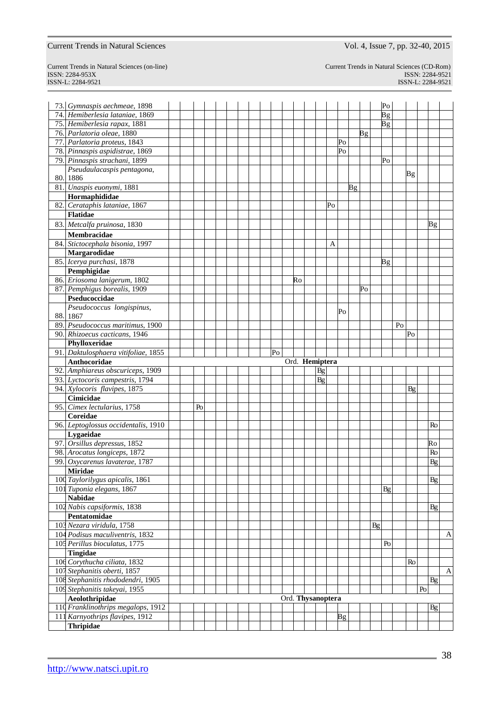# ISSN-L: 2284-9521 ISSN-L: 2284-9521

Current Trends in Natural Sciences (on-line) Current Trends in Natural Sciences (CD-Rom) ISSN: 2284-953XISSN: 2284-9521

|     | 73. Gymnaspis aechmeae, 1898                        |  |    |  |  |    |    |                   |    |    |    |    |    | Po              |                |           |                |           |                   |
|-----|-----------------------------------------------------|--|----|--|--|----|----|-------------------|----|----|----|----|----|-----------------|----------------|-----------|----------------|-----------|-------------------|
|     | 74. Hemiberlesia lataniae, 1869                     |  |    |  |  |    |    |                   |    |    |    |    |    | $\overline{B}g$ |                |           |                |           |                   |
|     | 75. Hemiberlesia rapax, 1881                        |  |    |  |  |    |    |                   |    |    |    |    |    | $\overline{B}g$ |                |           |                |           |                   |
|     | 76. Parlatoria oleae, 1880                          |  |    |  |  |    |    |                   |    |    |    | Bg |    |                 |                |           |                |           |                   |
|     | 77. Parlatoria proteus, 1843                        |  |    |  |  |    |    |                   |    | Po |    |    |    |                 |                |           |                |           |                   |
|     | 78. Pinnaspis aspidistrae, 1869                     |  |    |  |  |    |    |                   |    | Po |    |    |    |                 |                |           |                |           |                   |
|     | 79. Pinnaspis strachani, 1899                       |  |    |  |  |    |    |                   |    |    |    |    |    | P <sub>0</sub>  |                |           |                |           |                   |
|     | Pseudaulacaspis pentagona,                          |  |    |  |  |    |    |                   |    |    |    |    |    |                 |                |           |                |           |                   |
|     | 80. 1886                                            |  |    |  |  |    |    |                   |    |    |    |    |    |                 |                | <b>Bg</b> |                |           |                   |
|     | 81. Unaspis euonymi, 1881                           |  |    |  |  |    |    |                   |    |    | Βg |    |    |                 |                |           |                |           |                   |
|     | Hormaphididae                                       |  |    |  |  |    |    |                   |    |    |    |    |    |                 |                |           |                |           |                   |
|     | 82. Cerataphis lataniae, 1867                       |  |    |  |  |    |    |                   | Po |    |    |    |    |                 |                |           |                |           |                   |
|     | <b>Flatidae</b>                                     |  |    |  |  |    |    |                   |    |    |    |    |    |                 |                |           |                |           |                   |
|     | 83. Metcalfa pruinosa, 1830                         |  |    |  |  |    |    |                   |    |    |    |    |    |                 |                |           |                | Вg        |                   |
|     | Membracidae                                         |  |    |  |  |    |    |                   |    |    |    |    |    |                 |                |           |                |           |                   |
|     | 84. Stictocephala bisonia, 1997                     |  |    |  |  |    |    |                   | Α  |    |    |    |    |                 |                |           |                |           |                   |
|     | Margarodidae                                        |  |    |  |  |    |    |                   |    |    |    |    |    |                 |                |           |                |           |                   |
|     | 85. Icerya purchasi, 1878                           |  |    |  |  |    |    |                   |    |    |    |    |    | Вg              |                |           |                |           |                   |
|     | Pemphigidae                                         |  |    |  |  |    |    |                   |    |    |    |    |    |                 |                |           |                |           |                   |
|     | 86. Eriosoma lanigerum, 1802                        |  |    |  |  |    | Ro |                   |    |    |    |    |    |                 |                |           |                |           |                   |
|     | 87. Pemphigus borealis, 1909                        |  |    |  |  |    |    |                   |    |    |    | Po |    |                 |                |           |                |           |                   |
|     | Pseducoccidae                                       |  |    |  |  |    |    |                   |    |    |    |    |    |                 |                |           |                |           |                   |
|     | Pseudococcus longispinus,                           |  |    |  |  |    |    |                   |    |    |    |    |    |                 |                |           |                |           |                   |
|     | 88. 1867                                            |  |    |  |  |    |    |                   |    | Po |    |    |    |                 |                |           |                |           |                   |
|     | 89. Pseudococcus maritimus, 1900                    |  |    |  |  |    |    |                   |    |    |    |    |    |                 | P <sub>0</sub> |           |                |           |                   |
|     | 90. Rhizoecus cacticans, 1946                       |  |    |  |  |    |    |                   |    |    |    |    |    |                 |                | Po        |                |           |                   |
|     | Phylloxeridae                                       |  |    |  |  |    |    |                   |    |    |    |    |    |                 |                |           |                |           |                   |
|     | 91. Daktulosphaera vitifoliae, 1855                 |  |    |  |  | Po |    |                   |    |    |    |    |    |                 |                |           |                |           |                   |
|     | Anthocoridae                                        |  |    |  |  |    |    | Ord. Hemiptera    |    |    |    |    |    |                 |                |           |                |           |                   |
|     | 92. Amphiareus obscuriceps, 1909                    |  |    |  |  |    |    | Bg                |    |    |    |    |    |                 |                |           |                |           |                   |
|     | 93. Lyctocoris campestris, 1794                     |  |    |  |  |    |    | Bg                |    |    |    |    |    |                 |                |           |                |           |                   |
|     | 94. Xylocoris flavipes, 1875                        |  |    |  |  |    |    |                   |    |    |    |    |    |                 |                | Βg        |                |           |                   |
|     | Cimicidae                                           |  |    |  |  |    |    |                   |    |    |    |    |    |                 |                |           |                |           |                   |
|     | 95. Cimex lectularius, 1758                         |  | Po |  |  |    |    |                   |    |    |    |    |    |                 |                |           |                |           |                   |
|     | Coreidae                                            |  |    |  |  |    |    |                   |    |    |    |    |    |                 |                |           |                |           |                   |
|     | 96. Leptoglossus occidentalis, 1910                 |  |    |  |  |    |    |                   |    |    |    |    |    |                 |                |           |                | Ro        |                   |
|     | Lygaeidae                                           |  |    |  |  |    |    |                   |    |    |    |    |    |                 |                |           |                |           |                   |
|     | 97. Orsillus depressus, 1852                        |  |    |  |  |    |    |                   |    |    |    |    |    |                 |                |           |                | Ro        |                   |
|     | 98. Arocatus longiceps, 1872                        |  |    |  |  |    |    |                   |    |    |    |    |    |                 |                |           |                | Ro        |                   |
| 99. | Oxycarenus lavaterae, 1787                          |  |    |  |  |    |    |                   |    |    |    |    |    |                 |                |           |                | Bg        |                   |
|     |                                                     |  |    |  |  |    |    |                   |    |    |    |    |    |                 |                |           |                |           |                   |
|     | <b>Miridae</b>                                      |  |    |  |  |    |    |                   |    |    |    |    |    |                 |                |           |                |           |                   |
|     | 100 Taylorilygus apicalis, 1861                     |  |    |  |  |    |    |                   |    |    |    |    |    |                 |                |           |                | <b>Bg</b> |                   |
|     | 101 Tuponia elegans, 1867                           |  |    |  |  |    |    |                   |    |    |    |    |    | Bg              |                |           |                |           |                   |
|     | <b>Nabidae</b>                                      |  |    |  |  |    |    |                   |    |    |    |    |    |                 |                |           |                |           |                   |
|     | 102 Nabis capsiformis, 1838                         |  |    |  |  |    |    |                   |    |    |    |    |    |                 |                |           |                | Βg        |                   |
|     | Pentatomidae                                        |  |    |  |  |    |    |                   |    |    |    |    |    |                 |                |           |                |           |                   |
|     | 103 Nezara viridula, 1758                           |  |    |  |  |    |    |                   |    |    |    |    | Bg |                 |                |           |                |           |                   |
|     | 104 Podisus maculiventris, 1832                     |  |    |  |  |    |    |                   |    |    |    |    |    |                 |                |           |                |           |                   |
|     | 105 Perillus bioculatus, 1775                       |  |    |  |  |    |    |                   |    |    |    |    |    | Po              |                |           |                |           |                   |
|     | Tingidae                                            |  |    |  |  |    |    |                   |    |    |    |    |    |                 |                |           |                |           |                   |
|     | 106 Corythucha ciliata, 1832                        |  |    |  |  |    |    |                   |    |    |    |    |    |                 |                | Ro        |                |           |                   |
|     | 107 Stephanitis oberti, 1857                        |  |    |  |  |    |    |                   |    |    |    |    |    |                 |                |           |                |           |                   |
|     | 108 Stephanitis rhododendri, 1905                   |  |    |  |  |    |    |                   |    |    |    |    |    |                 |                |           |                | Bg        |                   |
|     | 109 Stephanitis takeyai, 1955                       |  |    |  |  |    |    |                   |    |    |    |    |    |                 |                |           | P <sub>0</sub> |           |                   |
|     | Aeolothripidae                                      |  |    |  |  |    |    | Ord. Thysanoptera |    |    |    |    |    |                 |                |           |                |           |                   |
|     | 110 Franklinothrips megalops, 1912                  |  |    |  |  |    |    |                   |    |    |    |    |    |                 |                |           |                | Βg        |                   |
|     | 111 Karnyothrips flavipes, 1912<br><b>Thripidae</b> |  |    |  |  |    |    |                   |    | Bg |    |    |    |                 |                |           |                |           | A<br>$\mathbf{A}$ |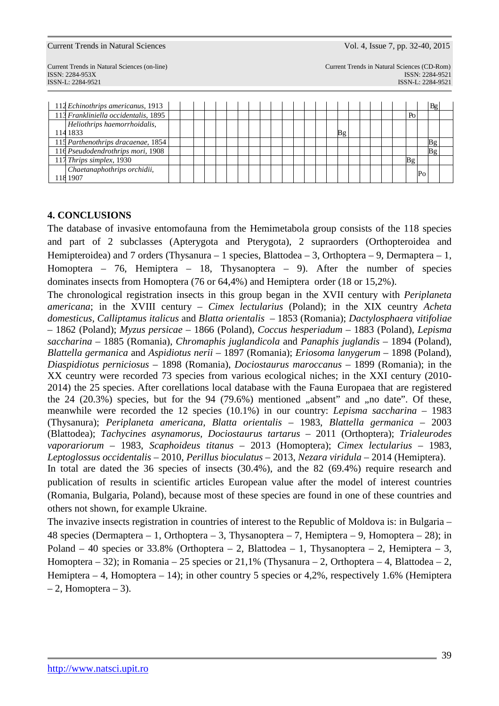ISSN-L: 2284-9521 ISSN-L: 2284-9521

| 112 Echinothrips americanus, 1913    |  |  |  |  |  |  |  |    |  |  |    |                | Bg |  |
|--------------------------------------|--|--|--|--|--|--|--|----|--|--|----|----------------|----|--|
| 113 Frankliniella occidentalis, 1895 |  |  |  |  |  |  |  |    |  |  | Po |                |    |  |
| Heliothrips haemorrhoidalis,         |  |  |  |  |  |  |  |    |  |  |    |                |    |  |
| 114 1833                             |  |  |  |  |  |  |  | Bg |  |  |    |                |    |  |
| 115 Parthenothrips dracaenae, 1854   |  |  |  |  |  |  |  |    |  |  |    |                |    |  |
| 116 Pseudodendrothrips mori, 1908    |  |  |  |  |  |  |  |    |  |  |    |                |    |  |
| 117 Thrips simplex, 1930             |  |  |  |  |  |  |  |    |  |  |    |                |    |  |
| Chaetanaphothrips orchidii,          |  |  |  |  |  |  |  |    |  |  |    | P <sub>0</sub> |    |  |
| 118 1907                             |  |  |  |  |  |  |  |    |  |  |    |                |    |  |

### **4. CONCLUSIONS**

The database of invasive entomofauna from the Hemimetabola group consists of the 118 species and part of 2 subclasses (Apterygota and Pterygota), 2 supraorders (Orthopteroidea and Hemipteroidea) and 7 orders (Thysanura – 1 species, Blattodea – 3, Orthoptera – 9, Dermaptera – 1, Homoptera – 76, Hemiptera – 18, Thysanoptera – 9). After the number of species dominates insects from Homoptera (76 or 64,4%) and Hemiptera order (18 or 15,2%).

The chronological registration insects in this group began in the XVII century with *Periplaneta americana*; in the XVIII century – *Cimex lectularius* (Poland); in the XIX ceuntry *Acheta domesticus*, *Calliptamus italicus* and *Blatta orientalis* – 1853 (Romania); *Dactylosphaera vitifoliae* – 1862 (Poland); *Myzus persicae –* 1866 (Poland), *Coccus hesperiadum –* 1883 (Poland)*, Lepisma saccharina* – 1885 (Romania), *Chromaphis juglandicola* and *Panaphis juglandis –* 1894 (Poland), *Blattella germanica* and *Aspidiotus nerii* – 1897 (Romania); *Eriosoma lanygerum –* 1898 (Poland), *Diaspidiotus perniciosus* – 1898 (Romania), *Dociostaurus maroccanus –* 1899 (Romania); in the XX ceuntry were recorded 73 species from various ecological niches; in the XXI century (2010- 2014) the 25 species. After corellations local database with the Fauna Europaea that are registered the 24  $(20.3\%)$  species, but for the 94  $(79.6\%)$  mentioned  $\alpha$ , absent" and  $\alpha$ , no date". Of these, meanwhile were recorded the 12 species (10.1%) in our country: *Lepisma saccharina* – 1983 (Thysanura); *Periplaneta americana, Blatta orientalis* – 1983, *Blattella germanica* – 2003 (Blattodea); *Tachycines asynamorus, Dociostaurus tartarus* – 2011 (Orthoptera); *Trialeurodes vaporariorum* – 1983, *Scaphoideus titanus* – 2013 (Homoptera); *Cimex lectularius* – 1983, *Leptoglossus occidentalis* – 2010, *Perillus bioculatus* – 2013, *Nezara viridula* – 2014 (Hemiptera). In total are dated the 36 species of insects  $(30.4\%)$ , and the 82  $(69.4\%)$  require research and

publication of results in scientific articles European value after the model of interest countries (Romania, Bulgaria, Poland), because most of these species are found in one of these countries and others not shown, for example Ukraine.

The invazive insects registration in countries of interest to the Republic of Moldova is: in Bulgaria – 48 species (Dermaptera – 1, Orthoptera – 3, Thysanoptera – 7, Hemiptera – 9, Homoptera – 28); in Poland – 40 species or 33.8% (Orthoptera – 2, Blattodea – 1, Thysanoptera – 2, Hemiptera – 3, Homoptera – 32); in Romania – 25 species or  $21,1\%$  (Thysanura – 2, Orthoptera – 4, Blattodea – 2, Hemiptera – 4, Homoptera – 14); in other country 5 species or 4,2%, respectively 1.6% (Hemiptera  $-2$ , Homoptera  $-3$ ).